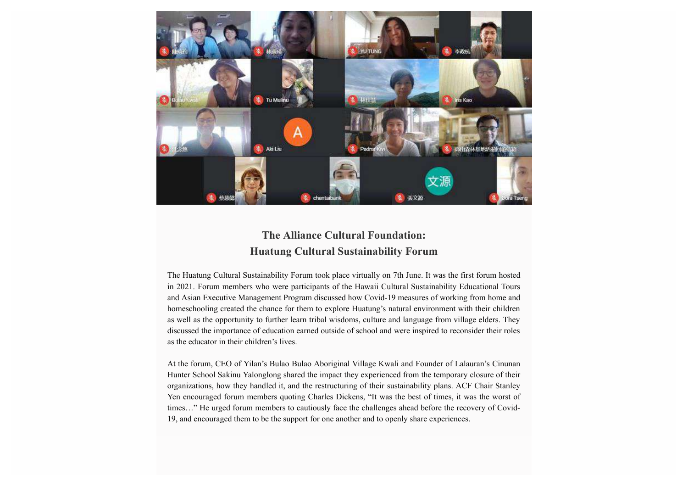

## **The Alliance Cultural Foundation: Huatung Cultural Sustainability Forum**

The Huatung Cultural Sustainability Forum took place virtually on 7th June. It was the first forum hosted in 2021. Forum members who were participants of the Hawaii Cultural Sustainability Educational Tours and Asian Executive Management Program discussed how Covid-19 measures of working from home and homeschooling created the chance for them to explore Huatung's natural environment with their children as well as the opportunity to further learn tribal wisdoms, culture and language from village elders. They discussed the importance of education earned outside of school and were inspired to reconsider their roles as the educator in their children's lives.

At the forum, CEO of Yilan's Bulao Bulao Aboriginal Village Kwali and Founder of Lalauran's Cinunan Hunter School Sakinu Yalonglong shared the impact they experienced from the temporary closure of their organizations, how they handled it, and the restructuring of their sustainability plans. ACF Chair Stanley Yen encouraged forum members quoting Charles Dickens, "It was the best of times, it was the worst of times…" He urged forum members to cautiously face the challenges ahead before the recovery of Covid-19, and encouraged them to be the support for one another and to openly share experiences.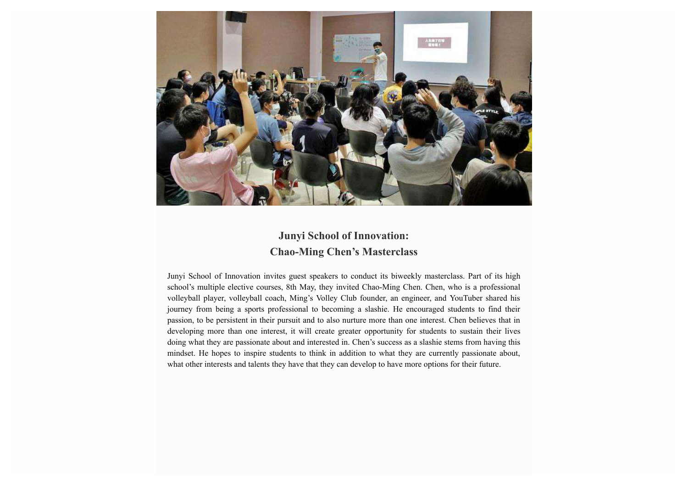

## **Junyi School of Innovation: Chao-Ming Chen's Masterclass**

Junyi School of Innovation invites guest speakers to conduct its biweekly masterclass. Part of its high school's multiple elective courses, 8th May, they invited Chao-Ming Chen. Chen, who is a professional volleyball player, volleyball coach, Ming's Volley Club founder, an engineer, and YouTuber shared his journey from being a sports professional to becoming a slashie. He encouraged students to find their passion, to be persistent in their pursuit and to also nurture more than one interest. Chen believes that in developing more than one interest, it will create greater opportunity for students to sustain their lives doing what they are passionate about and interested in. Chen's success as a slashie stems from having this mindset. He hopes to inspire students to think in addition to what they are currently passionate about, what other interests and talents they have that they can develop to have more options for their future.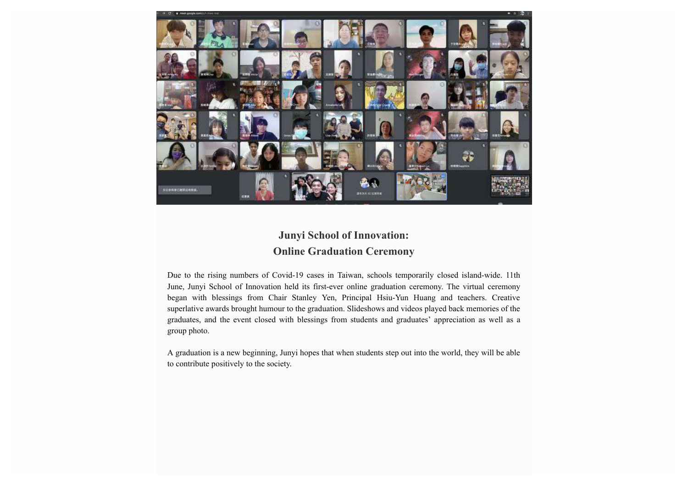

## **Junyi School of Innovation: Online Graduation Ceremony**

Due to the rising numbers of Covid-19 cases in Taiwan, schools temporarily closed island-wide. 11th June, Junyi School of Innovation held its first-ever online graduation ceremony. The virtual ceremony began with blessings from Chair Stanley Yen, Principal Hsiu-Yun Huang and teachers. Creative superlative awards brought humour to the graduation. Slideshows and videos played back memories of the graduates, and the event closed with blessings from students and graduates' appreciation as well as a group photo.

A graduation is a new beginning, Junyi hopes that when students step out into the world, they will be able to contribute positively to the society.